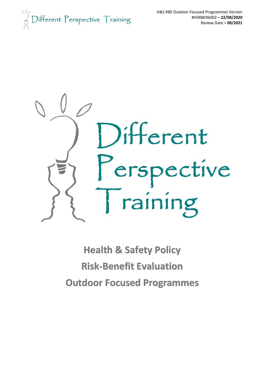$\int_{\mathbb{R}}^{\mathbb{R}} D$ ifferent Perspective Training



**Health & Safety Policy Risk-Benefit Evaluation Outdoor Focused Programmes**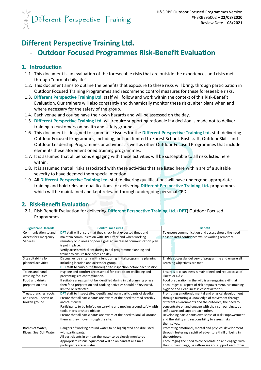

# **Different Perspective Training Ltd.**

## - **Outdoor Focused Programmes Risk-Benefit Evaluation**

### **1. Introduction**

- 1.1. This document is an evaluation of the foreseeable risks that are outside the experiences and risks met through "normal daily life"
- 1.2. This document aims to outline the benefits that exposure to these risks will bring, through participation in Outdoor Focused Training Programmes and recommend control measures for these foreseeable risks.
- 1.3. **Different Perspective Training Ltd.** staff will follow and work within the context of this Risk-Benefit Evaluation. Our trainers will also constantly and dynamically monitor these risks, alter plans when and where necessary for the safety of the group.
- 1.4. Each venue and course have their own hazards and will be assessed on the day.
- 1.5. **Different Perspective Training Ltd.** will require supporting rationale if a decision is made not to deliver training to customers on health and safety grounds.
- 1.6. This document is designed to summarise issues for the **Different Perspective Training Ltd.** staff delivering Outdoor Focused Programmes, including, but not limited to Forest School, Bushcraft, Outdoor Skills and Outdoor Leadership Programmes or activities as well as other Outdoor Focused Programmes that include elements these aforementioned training programmes.
- 1.7. It is assumed that all persons engaging with these activities will be susceptible to all risks listed here within.
- 1.8. It is assumed that all risks associated with these activities that are listed here within are of a suitable severity to have deemed them special mention.
- 1.9. All **Different Perspective Training Ltd.** staff delivering qualifications will have undergone appropriate training and hold relevant qualifications for delivering **Different Perspective Training Ltd.** programmes which will be maintained and kept relevant through undergoing personal CPD.

## **2. Risk-Benefit Evaluation**

2.1. Risk-Benefit Evaluation for delivering **Different Perspective Training Ltd.** (**DPT**) Outdoor Focused Programmes.

| <b>Significant Hazards</b>  | <b>Control measures</b>                                                       | <b>Benefit</b>                                             |
|-----------------------------|-------------------------------------------------------------------------------|------------------------------------------------------------|
| Communication to and        | <b>DPT</b> staff will ensure that they check in at expected times and         | To ensure communication and access should the need         |
| <b>Access for Emergency</b> | maintain communication with DPT Office and when working                       | arise to instil confidence whilst working remotely.        |
| Services                    | remotely or in areas of poor signal an increased communication plan           |                                                            |
|                             | is put in place.                                                              |                                                            |
|                             | Verify access with client during initial programme planning and               |                                                            |
|                             | trainer to ensure free access on day.                                         |                                                            |
| Site suitability for        | Discuss venue criteria with client during initial programme planning          | Enable successful delivery of programme and ensure all     |
| planned activities          | including location and access for group.                                      | Learning Objectives are met                                |
|                             | <b>DPT</b> staff to carry out a thorough site inspection before each session. |                                                            |
| Toilets and hand            | Hygiene and comfort are essential for participant wellbeing and               | Ensure site cleanliness is maintained and reduce case of   |
| washing facilities          | preventing site contamination.                                                | illness or D&V                                             |
| Food and drinks             | If suitable areas cannot be identified during initial planning phase          | Food preparation in the wild is an engaging skill that     |
| preparation area            | then food preparation and cooking activities should be reviewed,              | encourages all aspect of risk empowerment. Maintaining     |
|                             | limited or restricted.                                                        | hygiene and cleanliness is essential to this.              |
| Trees, branches, roots      | <b>DPT</b> staff to inspect site, identify and warn participants of deadfall. | Promoting emotional, mental and physical development       |
| and rocky, uneven or        | Ensure that all participants are aware of the need to tread sensibly          | through nurturing a knowledge of movement through          |
| broken ground               | and cautiously.                                                               | different environments and the outdoors, the need to       |
|                             | Participants to be briefed on carrying and moving around safely with          | concentrate on and engage with their surroundings, be      |
|                             | tools, sticks or sharp objects.                                               | self-aware and support each other.                         |
|                             | Ensure that all participants are aware of the need to look all around         | Developing participants own sense of Risk Empowerment      |
|                             | them as they move through the site.                                           | and the ability and responsibility to assess risks         |
|                             |                                                                               | themselves.                                                |
| Bodies of Water,            | Dangers of working around water to be highlighted and discussed               | Promoting emotional, mental and physical development       |
| Rivers, Sea, Still Water    | with participants.                                                            | through fostering a spirit of adventure thrill of being in |
|                             | All participants in or near the water to be closely monitored.                | the outdoors.                                              |
|                             | Appropriate rescue equipment will be on hand at all times                     | Encouraging the need to concentrate on and engage with     |
|                             | participants are in water.                                                    | their surroundings, be self-aware and support each other.  |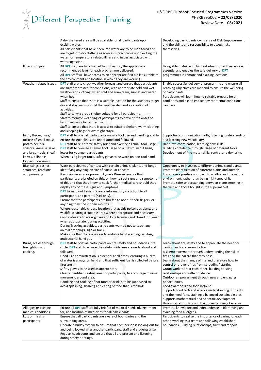# $\begin{array}{c}\n\sqrt[3]{\sqrt[3]{2}} \\
\sqrt[3]{\sqrt[3]{2}}\n\end{array} \begin{array}{c}\n\text{Different } \text{Perspective } \text{Training} \\
\end{array}$

|                                                                                                                                                                    | A dry sheltered area will be available for all participants upon<br>exciting water.<br>All participants that have been into water are to be monitored and<br>are to get into dry clothing as soon as is practicable upon exiting the<br>water for temperature related illness and issues associated with<br>water ingestion.                                                                                                                                                                                                                                                                                                                                                                                                                                                                                                                                                                                                                                                                                                                                                      | Developing participants own sense of Risk Empowerment<br>and the ability and responsibility to assess risks<br>themselves.                                                                                                                                                                                                                                                                                                                                                                                                                                                                                                                                                                                                                  |
|--------------------------------------------------------------------------------------------------------------------------------------------------------------------|-----------------------------------------------------------------------------------------------------------------------------------------------------------------------------------------------------------------------------------------------------------------------------------------------------------------------------------------------------------------------------------------------------------------------------------------------------------------------------------------------------------------------------------------------------------------------------------------------------------------------------------------------------------------------------------------------------------------------------------------------------------------------------------------------------------------------------------------------------------------------------------------------------------------------------------------------------------------------------------------------------------------------------------------------------------------------------------|---------------------------------------------------------------------------------------------------------------------------------------------------------------------------------------------------------------------------------------------------------------------------------------------------------------------------------------------------------------------------------------------------------------------------------------------------------------------------------------------------------------------------------------------------------------------------------------------------------------------------------------------------------------------------------------------------------------------------------------------|
| Illness or injury                                                                                                                                                  | All DPT staff are fully trained to, or beyond, the appropriate<br>recommended level for each programme delivered.<br>All DPT staff will have access to an appropriate first aid kit suitable to<br>the environment and location in which they are working.                                                                                                                                                                                                                                                                                                                                                                                                                                                                                                                                                                                                                                                                                                                                                                                                                        | Being able to deal with first aid situations as they arise is<br>essential and enables the safe delivery of DPT<br>programmes in remote and exciting locations.                                                                                                                                                                                                                                                                                                                                                                                                                                                                                                                                                                             |
| Weather related issues                                                                                                                                             | <b>DPT</b> staff are to check weather forecast and ensure that participants<br>are suitably dressed for conditions, with appropriate cold and wet<br>weather and clothing, when cold and sun-cream, sunhat and water<br>when hot.<br>Staff to ensure that there is a suitable location for the students to get<br>dry and stay warm should the weather demand a cessation of<br>activities.<br>Staff to carry a group shelter suitable for all participants.<br>Staff to monitor wellbeing of participants to prevent the onset of<br>hypothermia or hyperthermia.<br>Staff to ensure that there is access to suitable shelter, warm clothing<br>and sleeping bags for overnight stays.                                                                                                                                                                                                                                                                                                                                                                                           | Enable successful delivery of programme and ensure all<br>Learning Objectives are met and to ensure the wellbeing<br>of participants.<br>Participants will learn how to suitably prepare for all<br>conditions and big an impact environmental conditions<br>can have.                                                                                                                                                                                                                                                                                                                                                                                                                                                                      |
| Injury through use/<br>misuse of small tools;<br>potato peelers,<br>scissors, knives & saws<br>and larger tools; sheaf-<br>knives, billhooks,<br>loppers, bow-saws | <b>DPT</b> staff to brief all participants on safe tool use and handling and to<br>ensure the guidelines are understood and followed.<br>DPT staff to re-enforce safety brief and oversee all small tool usage.<br>DPT staff to oversee all small tool usage on a maximum 1:4 basis,<br>lower for younger participants.<br>When using larger tools, safety glove to be worn on non-tool hand.                                                                                                                                                                                                                                                                                                                                                                                                                                                                                                                                                                                                                                                                                     | Supporting communication skills, listening, understanding<br>and learning new vocabulary.<br>Hand-eye coordination, learning new skills.<br>Building confidence through usage of different tools.<br>Development of fine motor skills, control and dexterity.                                                                                                                                                                                                                                                                                                                                                                                                                                                                               |
| Bite, stings, rashes,<br>scratches, reactions<br>and poisoning                                                                                                     | Warn participants of contact with certain animals, plants and fungi,<br>identifying anything on site of particular concern.<br>If working in an area prone to Lyme's Disease, ensure that<br>participants are briefed on this, on how to spot signs and symptoms<br>of this and that they know to seek further medical care should they<br>display any of these signs and symptoms.<br>DPT to send out Lyme's Disease information, via School to all<br>participants and parents (<16 only).<br>Ensure that the participants are briefed to not put their fingers, or<br>anything they find in their mouths.<br>Where reasonable choose location that avoids poisonous plants and<br>wildlife, clearing a suitable area where appropriate and necessary.<br>Candidates are to wear gloves and long trousers and closed footwear<br>when appropriate, during activities.<br>During Tracking activities, participants warned not to touch any<br>animal droppings, sign or track.<br>Make sure that there is access to suitable hand washing facilities,<br>antibacterial hand gel. | Opportunity to investigate different animals and plants.<br>Promote identification of different plants and animals.<br>Encourage a positive approach to wildlife and the natural<br>environment, rather than being frightened of it.<br>Promote safer understanding between plants growing in<br>the wild and those bought in the supermarket.                                                                                                                                                                                                                                                                                                                                                                                              |
| Burns, scalds through<br>fire lighting and<br>cooking.                                                                                                             | DPT staff to brief all participants on fire safety and boundaries, fire<br>circle. DPT staff to ensure the safety guidelines are understood and<br>followed.<br>Good Fire administration is essential at all times, ensuring a bucket<br>of water is always on hand and that sufficient fuel is collected before<br>fires are lit.<br>Safety gloves to be used as appropriate.<br>Clearly identified seating area for participants, to encourage minimal<br>movement around area.<br>Handling and cooking of hot food or drink is to be supervised to<br>avoid splashing, sloshing and eating of food that is too hot.                                                                                                                                                                                                                                                                                                                                                                                                                                                            | Learn about fire safety and to appreciate the need for<br>caution and care around a fire.<br>Risk empowerment through understanding the risk of<br>fires and the hazard that they pose.<br>Learn about the triangle of fire and therefore how to<br>control or prevent fires from spreading/ starting.<br>Group work to trust each other, building trusting<br>relationships and self-confidence.<br>Outdoor empowerment through new and engaging<br>opportunities.<br>Food awareness and food hygiene<br>Supports food tech and science understanding nutrients<br>and the need for sustaining a balanced sustainable diet.<br>Supports mathematical and scientific development<br>through sizes, sorting and the understanding of energy. |
| Allergies or existing<br>medical conditions                                                                                                                        | Ensure all DPT staff are fully briefed of medical needs of, treatment<br>for, and location of medicines for all participants.                                                                                                                                                                                                                                                                                                                                                                                                                                                                                                                                                                                                                                                                                                                                                                                                                                                                                                                                                     | Promote knowledge and independence in identifying and<br>avoiding food allergens.                                                                                                                                                                                                                                                                                                                                                                                                                                                                                                                                                                                                                                                           |
| Lost or missing                                                                                                                                                    | Ensure that all participants are aware of boundaries and the                                                                                                                                                                                                                                                                                                                                                                                                                                                                                                                                                                                                                                                                                                                                                                                                                                                                                                                                                                                                                      | Participants to realise the importance of caring for each                                                                                                                                                                                                                                                                                                                                                                                                                                                                                                                                                                                                                                                                                   |
| participants                                                                                                                                                       | surrounding areas.<br>Operate a buddy system to ensure that each person is looking out for<br>and being looked after another participant, staff and students alike.<br>Regular headcounts and ensure that all are present and listening<br>during safety briefings.                                                                                                                                                                                                                                                                                                                                                                                                                                                                                                                                                                                                                                                                                                                                                                                                               | other, working as a team and following established<br>boundaries. Building relationships, trust and rapport.                                                                                                                                                                                                                                                                                                                                                                                                                                                                                                                                                                                                                                |